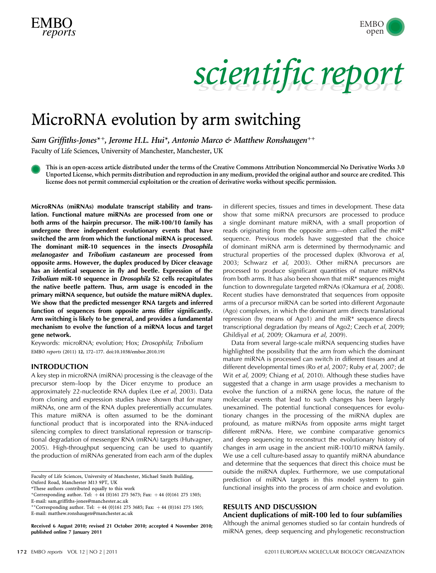

scientific report

## MicroRNA evolution by arm switching

Sam Griffiths-Jones<sup>\*+</sup>, Jerome H.L. Hui<sup>\*</sup>, Antonio Marco & Matthew Ronshaugen<sup>++</sup>

Faculty of Life Sciences, University of Manchester, Manchester, UK

This is an open-access article distributed under the terms of the Creative Commons Attribution Noncommercial No Derivative Works 3.0 Unported License, which permits distribution and reproduction in any medium, provided the original author and source are credited. This license does not permit commercial exploitation or the creation of derivative works without specific permission.

MicroRNAs (miRNAs) modulate transcript stability and translation. Functional mature miRNAs are processed from one or both arms of the hairpin precursor. The miR-100/10 family has undergone three independent evolutionary events that have switched the arm from which the functional miRNA is processed. The dominant miR-10 sequences in the insects Drosophila melanogaster and Tribolium castaneum are processed from opposite arms. However, the duplex produced by Dicer cleavage has an identical sequence in fly and beetle. Expression of the Tribolium miR-10 sequence in Drosophila S2 cells recapitulates the native beetle pattern. Thus, arm usage is encoded in the primary miRNA sequence, but outside the mature miRNA duplex. We show that the predicted messenger RNA targets and inferred function of sequences from opposite arms differ significantly. Arm switching is likely to be general, and provides a fundamental mechanism to evolve the function of a miRNA locus and target gene network.

Keywords: microRNA; evolution; Hox; Drosophila; Tribolium EMBO reports (2011) 12, 172–177. doi[:10.1038/embor.2010.191](http://dx.doi.org/10.1038/embor.2010.191)

### INTRODUCTION

A key step in microRNA (miRNA) processing is the cleavage of the precursor stem–loop by the Dicer enzyme to produce an approximately 22-nucleotide RNA duplex (Lee et al[, 2003\)](#page-4-0). Data from cloning and expression studies have shown that for many miRNAs, one arm of the RNA duplex preferentially accumulates. This mature miRNA is often assumed to be the dominant functional product that is incorporated into the RNA-induced silencing complex to direct translational repression or transcriptional degradation of messenger RNA (mRNA) targets ([Hutvagner,](#page-4-0) [2005\)](#page-4-0). High-throughput sequencing can be used to quantify the production of miRNAs generated from each arm of the duplex

Faculty of Life Sciences, University of Manchester, Michael Smith Building,

Oxford Road, Manchester M13 9PT, UK

\*These authors contributed equally to this work

+Corresponding author. Tel:  $+44 (0)161 275 5673$ ; Fax:  $+44 (0)161 275 1505$ ;

E-mail: [sam.griffiths-jones@manchester.ac.uk](mailto:sam.griffiths-jones@manchester.ac.uk)

++Corresponding author. Tel: +44 (0)161 275 3685; Fax: +44 (0)161 275 1505; E-mail: [matthew.ronshaugen@manchester.ac.uk](mailto:matthew.ronshaugen@manchester.ac.uk)

published online 7 January 2011

in different species, tissues and times in development. These data show that some miRNA precursors are processed to produce a single dominant mature miRNA, with a small proportion of reads originating from the opposite arm—often called the miR\* sequence. Previous models have suggested that the choice of dominant miRNA arm is determined by thermodynamic and structural properties of the processed duplex ([Khvorova](#page-4-0) et al, [2003](#page-4-0); [Schwarz](#page-5-0) et al, 2003). Other miRNA precursors are processed to produce significant quantities of mature miRNAs from both arms. It has also been shown that miR\* sequences might function to downregulate targeted mRNAs [\(Okamura](#page-5-0) et al, 2008). Recent studies have demonstrated that sequences from opposite arms of a precursor miRNA can be sorted into different Argonaute (Ago) complexes, in which the dominant arm directs translational repression (by means of Ago1) and the miR\* sequence directs transcriptional degradation (by means of Ago2; Czech et al[, 2009](#page-4-0); [Ghildiyal](#page-4-0) et al, 2009; [Okamura](#page-5-0) et al, 2009).

Data from several large-scale miRNA sequencing studies have highlighted the possibility that the arm from which the dominant mature miRNA is processed can switch in different tissues and at different developmental times (Ro et al[, 2007;](#page-5-0) Ruby et al[, 2007;](#page-5-0) [de](#page-4-0) Wit et al[, 2009](#page-4-0); [Chiang](#page-4-0) et al, 2010). Although these studies have suggested that a change in arm usage provides a mechanism to evolve the function of a miRNA gene locus, the nature of the molecular events that lead to such changes has been largely unexamined. The potential functional consequences for evolutionary changes in the processing of the miRNA duplex are profound, as mature miRNAs from opposite arms might target different mRNAs. Here, we combine comparative genomics and deep sequencing to reconstruct the evolutionary history of changes in arm usage in the ancient miR-100/10 miRNA family. We use a cell culture-based assay to quantify miRNA abundance and determine that the sequences that direct this choice must be outside the miRNA duplex. Furthermore, we use computational prediction of miRNA targets in this model system to gain functional insights into the process of arm choice and evolution.

## RESULTS AND DISCUSSION Ancient duplications of miR-100 led to four subfamilies

Although the animal genomes studied so far contain hundreds of Received 6 August 2010; revised 21 October 2010; accepted 4 November 2010; Although the animal genomes studied so far contain hundreds of published online 7 January 2011 miRNA genes, deep sequencing and phylogenetic recons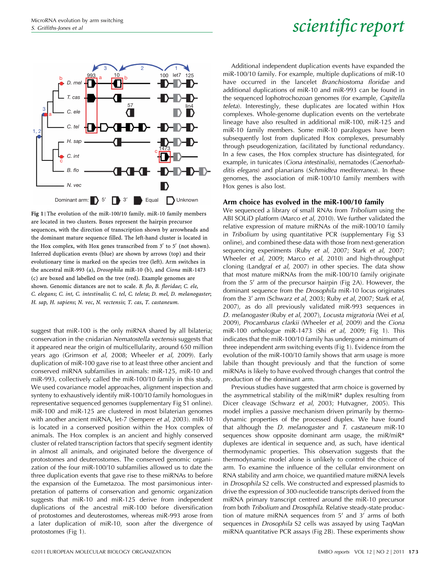



Fig 1 | The evolution of the miR-100/10 family. miR-10 family members are located in two clusters. Boxes represent the hairpin precursor sequences, with the direction of transcription shown by arrowheads and the dominant mature sequence filled. The left-hand cluster is located in the Hox complex, with Hox genes transcribed from  $3'$  to  $5'$  (not shown). Inferred duplication events (blue) are shown by arrows (top) and their evolutionary time is marked on the species tree (left). Arm switches in the ancestral miR-993 (a), Drosophila miR-10 (b), and Ciona miR-1473 (c) are boxed and labelled on the tree (red). Example genomes are shown. Genomic distances are not to scale. B. flo, B. floridae; C. ele, C. elegans; C. int, C. intestinalis; C. tel, C. teleta; D. mel, D. melanogaster; H. sap, H. sapiens; N. vec, N. vectensis; T. cas, T. castaneum.

suggest that miR-100 is the only miRNA shared by all bilateria; conservation in the cnidarian Nematostella vectensis suggests that it appeared near the origin of multicellularity, around 650 million years ago [\(Grimson](#page-4-0) et al, 2008; [Wheeler](#page-5-0) et al, 2009). Early duplication of miR-100 gave rise to at least three other ancient and conserved miRNA subfamilies in animals: miR-125, miR-10 and miR-993, collectively called the miR-100/10 family in this study. We used covariance model approaches, alignment inspection and synteny to exhaustively identify miR-100/10 family homologues in representative sequenced genomes (supplementary Fig S1 online). miR-100 and miR-125 are clustered in most bilaterian genomes with another ancient miRNA, let-7 ([Sempere](#page-5-0) et al, 2003). miR-10 is located in a conserved position within the Hox complex of animals. The Hox complex is an ancient and highly conserved cluster of related transcription factors that specify segment identity in almost all animals, and originated before the divergence of protostomes and deuterostomes. The conserved genomic organization of the four miR-100/10 subfamilies allowed us to date the three duplication events that gave rise to these miRNAs to before the expansion of the Eumetazoa. The most parsimonious interpretation of patterns of conservation and genomic organization suggests that miR-10 and miR-125 derive from independent duplications of the ancestral miR-100 before diversification of protostomes and deuterostomes, whereas miR-993 arose from a later duplication of miR-10, soon after the divergence of protostomes (Fig 1).

Additional independent duplication events have expanded the miR-100/10 family. For example, multiple duplications of miR-10 have occurred in the lancelet *Branchiostoma floridae* and additional duplications of miR-10 and miR-993 can be found in the sequenced lophotrochozoan genomes (for example, Capitella teleta). Interestingly, these duplicates are located within Hox complexes. Whole-genome duplication events on the vertebrate lineage have also resulted in additional miR-100, miR-125 and miR-10 family members. Some miR-10 paralogues have been subsequently lost from duplicated Hox complexes, presumably through pseudogenization, facilitated by functional redundancy. In a few cases, the Hox complex structure has disintegrated, for example, in tunicates (Ciona intestinalis), nematodes (Caenorhabditis elegans) and planarians (Schmidtea mediterranea). In these genomes, the association of miR-100/10 family members with Hox genes is also lost.

### Arm choice has evolved in the miR-100/10 family

We sequenced a library of small RNAs from Tribolium using the ABI SOLiD platform (Marco et al[, 2010](#page-5-0)). We further validated the relative expression of mature miRNAs of the miR-100/10 family in Tribolium by using quantitative PCR (supplementary Fig S3 online), and combined these data with those from next-generation sequencing experiments (Ruby et al[, 2007;](#page-5-0) Stark et al[, 2007](#page-5-0); [Wheeler](#page-5-0) et al, 2009; Marco et al[, 2010](#page-5-0)) and high-throughput cloning [\(Landgraf](#page-4-0) et al, 2007) in other species. The data show that most mature miRNAs from the miR-100/10 family originate from the  $5'$  arm of the precursor hairpin ([Fig 2A](#page-2-0)). However, the dominant sequence from the Drosophila miR-10 locus originates from the 3' arm [\(Schwarz](#page-5-0) et al, 2003; Ruby et al[, 2007; Stark](#page-5-0) et al, [2007](#page-5-0)), as do all previously validated miR-993 sequences in D. melanogaster (Ruby et al[, 2007\)](#page-5-0), Locusta migratoria (Wei [et al](#page-5-0), [2009](#page-5-0)), Procambarus clarkii [\(Wheeler](#page-5-0) et al, 2009) and the Ciona miR-100 orthologue miR-1473 (Shi et al[, 2009;](#page-5-0) Fig 1). This indicates that the miR-100/10 family has undergone a minimum of three independent arm switching events (Fig 1). Evidence from the evolution of the miR-100/10 family shows that arm usage is more labile than thought previously and that the function of some miRNAs is likely to have evolved through changes that control the production of the dominant arm.

Previous studies have suggested that arm choice is governed by the asymmetrical stability of the miR/miR\* duplex resulting from Dicer cleavage [\(Schwarz](#page-5-0) et al, 2003; [Hutvagner, 2005](#page-4-0)). This model implies a passive mechanism driven primarily by thermodynamic properties of the processed duplex. We have found that although the *D. melanogaster* and *T. castaneum* miR-10 sequences show opposite dominant arm usage, the miR/miR\* duplexes are identical in sequence and, as such, have identical thermodynamic properties. This observation suggests that the thermodynamic model alone is unlikely to control the choice of arm. To examine the influence of the cellular environment on RNA stability and arm choice, we quantified mature miRNA levels in Drosophila S2 cells. We constructed and expressed plasmids to drive the expression of 300-nucleotide transcripts derived from the miRNA primary transcript centred around the miR-10 precursor from both Tribolium and Drosophila. Relative steady-state production of mature miRNA sequences from  $5'$  and  $3'$  arms of both sequences in *Drosophila* S2 cells was assayed by using TaqMan miRNA quantitative PCR assays ([Fig 2B\)](#page-2-0). These experiments show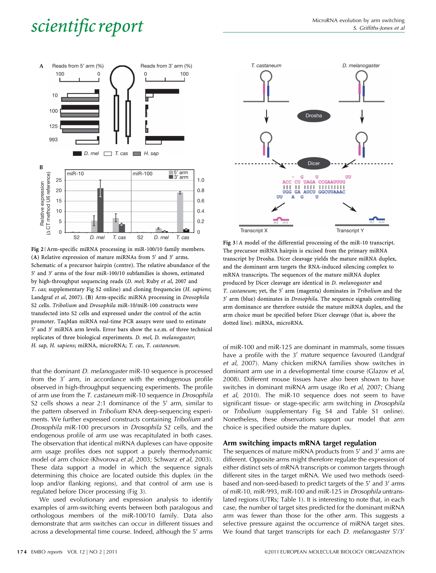<span id="page-2-0"></span>

Fig 2 | Arm-specific miRNA processing in miR-100/10 family members. (A) Relative expression of mature miRNAs from  $5'$  and  $3'$  arms. Schematic of a precursor hairpin (centre). The relative abundance of the  $5'$  and  $3'$  arms of the four miR-100/10 subfamilies is shown, estimated by high-throughput sequencing reads (D. mel; Ruby et al[, 2007](#page-5-0) and T. cas; supplementary Fig S2 online) and cloning frequencies (H. sapiens; [Landgraf](#page-4-0) et al, 2007). (B) Arm-specific miRNA processing in Drosophila S2 cells. Tribolium and Drosophila miR-10/miR-100 constructs were transfected into S2 cells and expressed under the control of the actin promoter. TaqMan miRNA real-time PCR assays were used to estimate 5' and 3' miRNA arm levels. Error bars show the s.e.m. of three technical replicates of three biological experiments. D. mel, D. melanogaster; H. sap, H. sapiens; miRNA, microRNA; T. cas, T. castaneum.

that the dominant D. melanogaster miR-10 sequence is processed from the  $3'$  arm, in accordance with the endogenous profile observed in high-throughput sequencing experiments. The profile of arm use from the T. castaneum miR-10 sequence in Drosophila S2 cells shows a near 2:1 dominance of the  $5'$  arm, similar to the pattern observed in Tribolium RNA deep-sequencing experiments. We further expressed constructs containing Tribolium and Drosophila miR-100 precursors in Drosophila S2 cells, and the endogenous profile of arm use was recapitulated in both cases. The observation that identical miRNA duplexes can have opposite arm usage profiles does not support a purely thermodynamic model of arm choice [\(Khvorova](#page-4-0) et al, 2003; [Schwarz](#page-5-0) et al, 2003). These data support a model in which the sequence signals determining this choice are located outside this duplex (in the loop and/or flanking regions), and that control of arm use is regulated before Dicer processing (Fig 3).

We used evolutionary and expression analysis to identify examples of arm-switching events between both paralogous and orthologous members of the miR-100/10 family. Data also demonstrate that arm switches can occur in different tissues and across a developmental time course. Indeed, although the 5' arms



Fig 3 | A model of the differential processing of the miR-10 transcript. The precursor miRNA hairpin is excised from the primary miRNA transcript by Drosha. Dicer cleavage yields the mature miRNA duplex, and the dominant arm targets the RNA-induced silencing complex to mRNA transcripts. The sequences of the mature miRNA duplex produced by Dicer cleavage are identical in D. melanogaster and T. castaneum; yet, the  $5'$  arm (magenta) dominates in Tribolium and the 3' arm (blue) dominates in Drosophila. The sequence signals controlling arm dominance are therefore outside the mature miRNA duplex, and the arm choice must be specified before Dicer cleavage (that is, above the dotted line). miRNA, microRNA.

of miR-100 and miR-125 are dominant in mammals, some tissues have a profile with the  $3'$  mature sequence favoured [\(Landgraf](#page-4-0) et al[, 2007](#page-4-0)). Many chicken miRNA families show switches in dominant arm use in a developmental time course [\(Glazov](#page-4-0) et al, [2008](#page-4-0)). Different mouse tissues have also been shown to have switches in dominant miRNA arm usage (Ro et al[, 2007](#page-5-0); [Chiang](#page-4-0) et al[, 2010](#page-4-0)). The miR-10 sequence does not seem to have significant tissue- or stage-specific arm switching in Drosophila or Tribolium (supplementary Fig S4 and Table S1 online). Nonetheless, these observations support our model that arm choice is specified outside the mature duplex.

### Arm switching impacts mRNA target regulation

The sequences of mature miRNA products from  $5'$  and  $3'$  arms are different. Opposite arms might therefore regulate the expression of either distinct sets of mRNA transcripts or common targets through different sites in the target mRNA. We used two methods (seedbased and non-seed-based) to predict targets of the 5' and 3' arms of miR-10, miR-993, miR-100 and miR-125 in Drosophila untranslated regions (UTRs; [Table 1\)](#page-3-0). It is interesting to note that, in each case, the number of target sites predicted for the dominant miRNA arm was fewer than those for the other arm. This suggests a selective pressure against the occurrence of miRNA target sites. We found that target transcripts for each D. melanogaster 5'/3'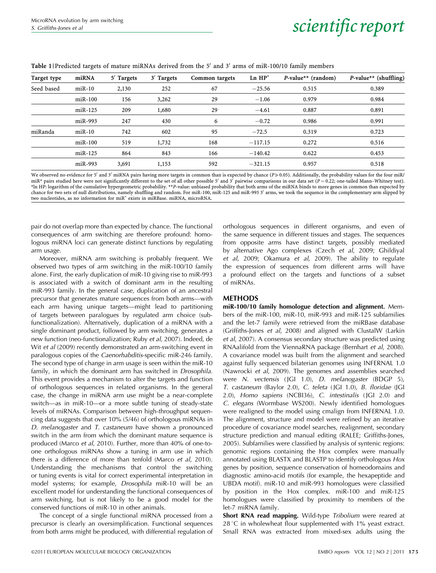<span id="page-3-0"></span>

| Table 1   Predicted targets of mature miRNAs derived from the 5' and 3' arms of miR-100/10 family members |  |  |
|-----------------------------------------------------------------------------------------------------------|--|--|
|-----------------------------------------------------------------------------------------------------------|--|--|

| Target type | miRNA     | $5'$ Targets | $3'$ Targets | Common targets | $Ln$ $HP^*$ | $P$ -value <sup>**</sup> (random) | $P$ -value** (shuffling) |
|-------------|-----------|--------------|--------------|----------------|-------------|-----------------------------------|--------------------------|
| Seed based  | $miR-10$  | 2,130        | 252          | 67             | $-25.56$    | 0.515                             | 0.389                    |
|             | $miR-100$ | 156          | 3,262        | 29             | $-1.06$     | 0.979                             | 0.984                    |
|             | $miR-125$ | 209          | 1,680        | 29             | $-4.61$     | 0.887                             | 0.891                    |
|             | $miR-993$ | 247          | 430          | 6              | $-0.72$     | 0.986                             | 0.991                    |
| miRanda     | $miR-10$  | 742          | 602          | 95             | $-72.5$     | 0.319                             | 0.723                    |
|             | $miR-100$ | 519          | 1,732        | 168            | $-117.15$   | 0.272                             | 0.516                    |
|             | $miR-125$ | 864          | 843          | 166            | $-140.42$   | 0.622                             | 0.453                    |
|             | $miR-993$ | 3,691        | 1,153        | 592            | $-321.15$   | 0.957                             | 0.518                    |

We observed no evidence for 5' and 3' miRNA pairs having more targets in common than is expected by chance (P $\gg$ 0.05). Additionally, the probability values for the four miR/ miR\* pairs studied here were not significantly different to the set of all other possible 5' and 3<sup>7</sup> pairwise comparisons in our data set ( $P = 0.22$ ; one-tailed Mann–Whitney test). \*ln HP: logarithm of the cumulative hypergeometric probability. \*\*P-value: unbiased probability that both arms of the miRNA binds to more genes in common than expected by chance for two sets of null distributions, namely shuffling and random. For miR-100, miR-125 and miR-993 3' arms, we took the sequence in the complementary arm slipped by two nucleotides, as no information for miR\* exists in miRBase. miRNA, microRNA.

pair do not overlap more than expected by chance. The functional consequences of arm switching are therefore profound: homologous miRNA loci can generate distinct functions by regulating arm usage.

Moreover, miRNA arm switching is probably frequent. We observed two types of arm switching in the miR-100/10 family alone. First, the early duplication of miR-10 giving rise to miR-993 is associated with a switch of dominant arm in the resulting miR-993 family. In the general case, duplication of an ancestral precursor that generates mature sequences from both arms—with each arm having unique targets—might lead to partitioning of targets between paralogues by regulated arm choice (subfunctionalization). Alternatively, duplication of a miRNA with a single dominant product, followed by arm switching, generates a new function (neo-functionalization; Ruby et al[, 2007\)](#page-5-0). Indeed, [de](#page-4-0) Wit *et al* [\(2009\)](#page-4-0) recently demonstrated an arm-switching event in paralogous copies of the Caenorhabditis-specific miR-246 family. The second type of change in arm usage is seen within the miR-10 family, in which the dominant arm has switched in Drosophila. This event provides a mechanism to alter the targets and function of orthologous sequences in related organisms. In the general case, the change in miRNA arm use might be a near-complete switch—as in miR-10—or a more subtle tuning of steady-state levels of miRNAs. Comparison between high-throughput sequencing data suggests that over 10% (5/46) of orthologous miRNAs in D. melanogaster and T. castaneum have shown a pronounced switch in the arm from which the dominant mature sequence is produced (Marco et al[, 2010\)](#page-5-0). Further, more than 40% of one-toone orthologous miRNAs show a tuning in arm use in which there is a difference of more than tenfold (Marco et al[, 2010\)](#page-5-0). Understanding the mechanisms that control the switching or tuning events is vital for correct experimental interpretation in model systems; for example, Drosophila miR-10 will be an excellent model for understanding the functional consequences of arm switching, but is not likely to be a good model for the conserved functions of miR-10 in other animals.

The concept of a single functional miRNA processed from a precursor is clearly an oversimplification. Functional sequences from both arms might be produced, with differential regulation of orthologous sequences in different organisms, and even of the same sequence in different tissues and stages. The sequences from opposite arms have distinct targets, possibly mediated by alternative Ago complexes (Czech et al[, 2009; Ghildiyal](#page-4-0) et al[, 2009](#page-4-0); [Okamura](#page-5-0) et al, 2009). The ability to regulate the expression of sequences from different arms will have a profound effect on the targets and functions of a subset of miRNAs.

## METHODS

miR-100/10 family homologue detection and alignment. Members of the miR-100, miR-10, miR-993 and miR-125 subfamilies and the let-7 family were retrieved from the miRBase database [\(Griffiths-Jones](#page-4-0) et al, 2008) and aligned with ClustalW [\(Larkin](#page-4-0) et al[, 2007](#page-4-0)). A consensus secondary structure was predicted using RNAalifold from the ViennaRNA package [\(Bernhart](#page-4-0) et al, 2008). A covariance model was built from the alignment and searched against fully sequenced bilaterian genomes using INFERNAL 1.0 [\(Nawrocki](#page-5-0) et al, 2009). The genomes and assemblies searched were N. vectensis (JGI 1.0), D. melanogaster (BDGP 5), T. castaneum (Baylor 2.0), C. teleta ( JGI 1.0), B. floridae (JGI 2.0), Homo sapiens (NCBI36), C. intestinalis ( JGI 2.0) and C. elegans (Wormbase WS200). Newly identified homologues were realigned to the model using cmalign from INFERNAL 1.0. The alignment, structure and model were refined by an iterative procedure of covariance model searches, realignment, secondary structure prediction and manual editing (RALEE; [Griffiths-Jones,](#page-4-0) [2005](#page-4-0)). Subfamilies were classified by analysis of syntenic regions: genomic regions containing the Hox complex were manually annotated using BLASTX and BLASTP to identify orthologous Hox genes by position, sequence conservation of homeodomains and diagnostic amino-acid motifs (for example, the hexapeptide and UBDA motif). miR-10 and miR-993 homologues were classified by position in the Hox complex. miR-100 and miR-125 homologues were classified by proximity to members of the let-7 miRNA family.

Short RNA read mapping. Wild-type Tribolium were reared at  $28 \text{ °C}$  in wholewheat flour supplemented with 1% yeast extract. Small RNA was extracted from mixed-sex adults using the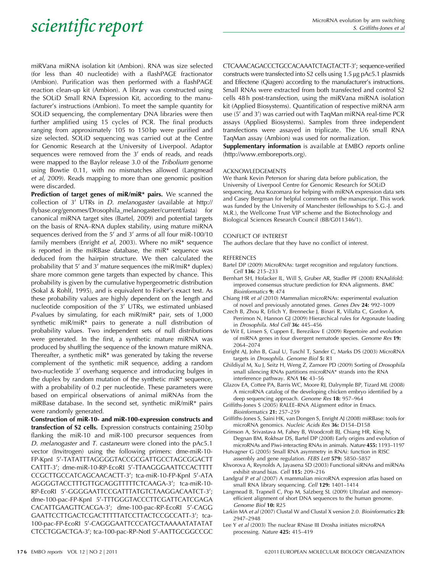<span id="page-4-0"></span>miRVana miRNA isolation kit (Ambion). RNA was size selected (for less than 40 nucleotide) with a flashPAGE fractionator (Ambion). Purification was then performed with a flashPAGE reaction clean-up kit (Ambion). A library was constructed using the SOLiD Small RNA Expression Kit, according to the manufacturer's instructions (Ambion). To meet the sample quantity for SOLiD sequencing, the complementary DNA libraries were then further amplified using 15 cycles of PCR. The final products ranging from approximately 105 to 150 bp were purified and size selected. SOLiD sequencing was carried out at the Centre for Genomic Research at the University of Liverpool. Adaptor sequences were removed from the  $3'$  ends of reads, and reads were mapped to the Baylor release 3.0 of the Tribolium genome using Bowtie 0.11, with no mismatches allowed (Langmead et al, 2009). Reads mapping to more than one genomic position were discarded.

Prediction of target genes of miR/miR\* pairs. We scanned the collection of  $3'$  UTRs in *D. melanogaster* (available at [http://](http://flybase.org/genomes/Drosophila_melanogaster/current/fasta) [flybase.org/genomes/Drosophila\\_melanogaster/current/fasta](http://flybase.org/genomes/Drosophila_melanogaster/current/fasta)) for canonical miRNA target sites (Bartel, 2009) and potential targets on the basis of RNA–RNA duplex stability, using mature miRNA sequences derived from the 5' and 3' arms of all four miR-100/10 family members (Enright et al, 2003). Where no miR\* sequence is reported in the miRBase database, the miR\* sequence was deduced from the hairpin structure. We then calculated the probability that  $5'$  and  $3'$  mature sequences (the miR/miR\* duplex) share more common gene targets than expected by chance. This probability is given by the cumulative hypergeometric distribution ([Sokal](#page-5-0) & [Rohlf, 1995\)](#page-5-0), and is equivalent to Fisher's exact test. As these probability values are highly dependent on the length and nucleotide composition of the  $3'$  UTRs, we estimated unbiased P-values by simulating, for each miR/miR\* pair, sets of 1,000 synthetic miR/miR\* pairs to generate a null distribution of probability values. Two independent sets of null distributions were generated. In the first, a synthetic mature miRNA was produced by shuffling the sequence of the known mature miRNA. Thereafter, a synthetic miR\* was generated by taking the reverse complement of the synthetic miR sequence, adding a random two-nucleotide 3' overhang sequence and introducing bulges in the duplex by random mutation of the synthetic miR\* sequence, with a probability of 0.2 per nucleotide. These parameters were based on empirical observations of animal miRNAs from the miRBase database. In the second set, synthetic miR/miR\* pairs were randomly generated.

Construction of miR-10- and miR-100-expression constructs and transfection of S2 cells. Expression constructs containing 250 bp flanking the miR-10 and miR-100 precursor sequences from D. melanogaster and T. castaneum were cloned into the pAc5.1 vector (Invitrogen) using the following primers: dme-miR-10- FP-KpnI 5'-TATATTTAGGGGTACCGCGATTGCCTAGCGGACTT CATTT-3'; dme-miR-10-RP-EcoRI 5'-TTAAGGGAATTCCACTTTT CCGCTTGCCATCAGCAACACTT-3'; tca-miR-10-FP-KpnI 5'-ATA AGGGGTACCTTTGTTGCAGGTTTTTCTCAAGA-3'; tca-miR-10-RP-EcoRI 5'-GGGGAATTCCGATTTATGTCTAAGGACAATCT-3'; dme-100-pac-FP-KpnI 5'-TTTGGGTACCCTTCGATTCATCGAGA CACATTGAAGTTCACGA-3'; dme-100-pac-RP-EcoRI 5'-CAGG GAATTCCTTGACTCGACTTTTTATCCTTACTCCGCCATT-3'; tca-100-pac-FP-EcoRI 5'-CAGGGAATTCCCATGCTAAAAATATATAT CTCCTGGACTGA-3'; tca-100-pac-RP-Notl 5'-AATTGCGGCCGC

## CTCAAACAGACCCTGCCACAAATCTAGTACTT-3'; sequence-verified constructs were transfected into S2 cells using 1.5 µg pAc5.1 plasmids and Effectene (Qiagen) according to the manufacturer's instructions. Small RNAs were extracted from both transfected and control S2 cells 48 h post-transfection, using the miRVana miRNA isolation kit (Applied Biosystems). Quantification of respective miRNA arm use (5' and 3') was carried out with TaqMan miRNA real-time PCR assays (Applied Biosystems). Samples from three independent transfections were assayed in triplicate. The U6 small RNA TaqMan assay (Ambion) was used for normalization.

Supplementary information is available at EMBO reports online [\(http://www.emboreports.org\)](http://www.emboreports.org).

### ACKNOWLEDGEMENTS

We thank Kevin Peterson for sharing data before publication, the University of Liverpool Centre for Genomic Research for SOLiD sequencing, Ana Kozomara for helping with miRNA expression data sets and Casey Bergman for helpful comments on the manuscript. This work was funded by the University of Manchester (fellowships to S.G.-J. and M.R.), the Wellcome Trust VIP scheme and the Biotechnology and Biological Sciences Research Council (BB/G011346/1).

#### CONFLICT OF INTEREST

The authors declare that they have no conflict of interest.

#### REFERENCES

- Bartel DP (2009) MicroRNAs: target recognition and regulatory functions. Cell 136: 215–233
- Bernhart SH, Hofacker IL, Will S, Gruber AR, Stadler PF (2008) RNAalifold: improved consensus structure prediction for RNA alignments. BMC Bioinformatics 9: 474
- Chiang HR et al (2010) Mammalian microRNAs: experimental evaluation of novel and previously annotated genes. Genes Dev 24: 992–1009
- Czech B, Zhou R, Erlich Y, Brennecke J, Binari R, Villalta C, Gordon A, Perrimon N, Hannon GJ (2009) Hierarchical rules for Argonaute loading in Drosophila. Mol Cell 36: 445–456
- de Wit E, Linsen S, Cuppen E, Berezikov E (2009) Repertoire and evolution of miRNA genes in four divergent nematode species. Genome Res 19: 2064–2074
- Enright AJ, John B, Gaul U, Tuschl T, Sander C, Marks DS (2003) MicroRNA targets in Drosophila. Genome Biol 5: R1
- Ghildiyal M, Xu J, Seitz H, Weng Z, Zamore PD (2009) Sorting of Drosophila small silencing RNAs partitions microRNA\* strands into the RNA interference pathway. RNA 16: 43–56
- Glazov EA, Cottee PA, Barris WC, Moore RJ, Dalrymple BP, Tizard ML (2008) A microRNA catalog of the developing chicken embryo identified by a deep sequencing approach. Genome Res 18: 957–964
- Griffiths-Jones S (2005) RALEE–RNA ALignment editor in Emacs. Bioinformatics 21: 257–259
- Griffiths-Jones S, Saini HK, van Dongen S, Enright AJ (2008) miRBase: tools for microRNA genomics. Nucleic Acids Res 36: D154–D158
- Grimson A, Srivastava M, Fahey B, Woodcroft BJ, Chiang HR, King N, Degnan BM, Rokhsar DS, Bartel DP (2008) Early origins and evolution of microRNAs and Piwi-interacting RNAs in animals. Nature 455: 1193–1197 Hutvagner G (2005) Small RNA asymmetry in RNAi: function in RISC
- assembly and gene regulation. FEBS Lett 579: 5850-5857
- Khvorova A, Reynolds A, Jayasena SD (2003) Functional siRNAs and miRNAs exhibit strand bias. Cell 115: 209–216
- Landgraf P et al (2007) A mammalian microRNA expression atlas based on small RNA library sequencing. Cell 129: 1401–1414
- Langmead B, Trapnell C, Pop M, Salzberg SL (2009) Ultrafast and memoryefficient alignment of short DNA sequences to the human genome. Genome Biol 10: R25
- Larkin MA et al (2007) Clustal W and Clustal X version 2.0. Bioinformatics 23: 2947–2948
- Lee Y et al (2003) The nuclear RNase III Drosha initiates microRNA processing. Nature 425: 415–419